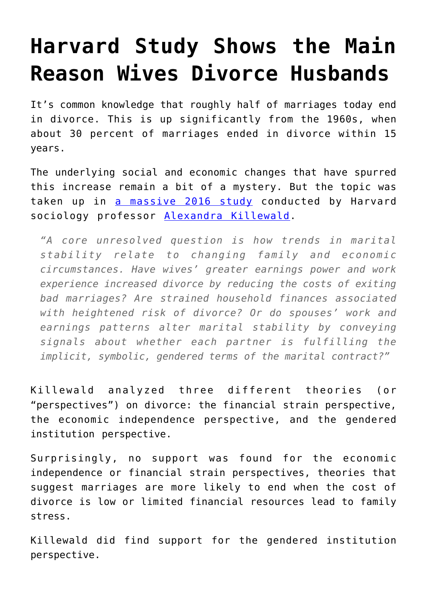## **[Harvard Study Shows the Main](https://intellectualtakeout.org/2017/06/harvard-study-shows-the-main-reason-wives-divorce-husbands/) [Reason Wives Divorce Husbands](https://intellectualtakeout.org/2017/06/harvard-study-shows-the-main-reason-wives-divorce-husbands/)**

It's common knowledge that roughly half of marriages today end in divorce. This is up significantly from the 1960s, when about 30 percent of marriages ended in divorce within 15 years.

The underlying social and economic changes that have spurred this increase remain a bit of a mystery. But the topic was taken up in [a massive 2016 study](http://www.asanet.org/sites/default/files/attach/journals/aug16asrfeature.pdf) conducted by Harvard sociology professor [Alexandra Killewald](https://scholar.harvard.edu/akillewald/home).

*"A core unresolved question is how trends in marital stability relate to changing family and economic circumstances. Have wives' greater earnings power and work experience increased divorce by reducing the costs of exiting bad marriages? Are strained household finances associated with heightened risk of divorce? Or do spouses' work and earnings patterns alter marital stability by conveying signals about whether each partner is fulfilling the implicit, symbolic, gendered terms of the marital contract?"*

Killewald analyzed three different theories (or "perspectives") on divorce: the financial strain perspective, the economic independence perspective, and the gendered institution perspective.

Surprisingly, no support was found for the economic independence or financial strain perspectives, theories that suggest marriages are more likely to end when the cost of divorce is low or limited financial resources lead to family stress.

Killewald did find support for the gendered institution perspective.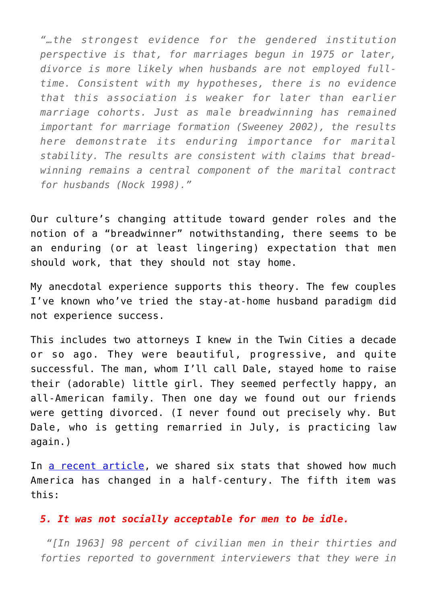*"…the strongest evidence for the gendered institution perspective is that, for marriages begun in 1975 or later, divorce is more likely when husbands are not employed fulltime. Consistent with my hypotheses, there is no evidence that this association is weaker for later than earlier marriage cohorts. Just as male breadwinning has remained important for marriage formation (Sweeney 2002), the results here demonstrate its enduring importance for marital stability. The results are consistent with claims that breadwinning remains a central component of the marital contract for husbands (Nock 1998)."*

Our culture's changing attitude toward gender roles and the notion of a "breadwinner" notwithstanding, there seems to be an enduring (or at least lingering) expectation that men should work, that they should not stay home.

My anecdotal experience supports this theory. The few couples I've known who've tried the stay-at-home husband paradigm did not experience success.

This includes two attorneys I knew in the Twin Cities a decade or so ago. They were beautiful, progressive, and quite successful. The man, whom I'll call Dale, stayed home to raise their (adorable) little girl. They seemed perfectly happy, an all-American family. Then one day we found out our friends were getting divorced. (I never found out precisely why. But Dale, who is getting remarried in July, is practicing law again.)

In [a recent article](https://www.intellectualtakeout.org/blog/6-statistics-show-how-much-america-has-changed-half-century), we shared six stats that showed how much America has changed in a half-century. The fifth item was this:

## *5. It was not socially acceptable for men to be idle.*

 *"[In 1963] 98 percent of civilian men in their thirties and forties reported to government interviewers that they were in*